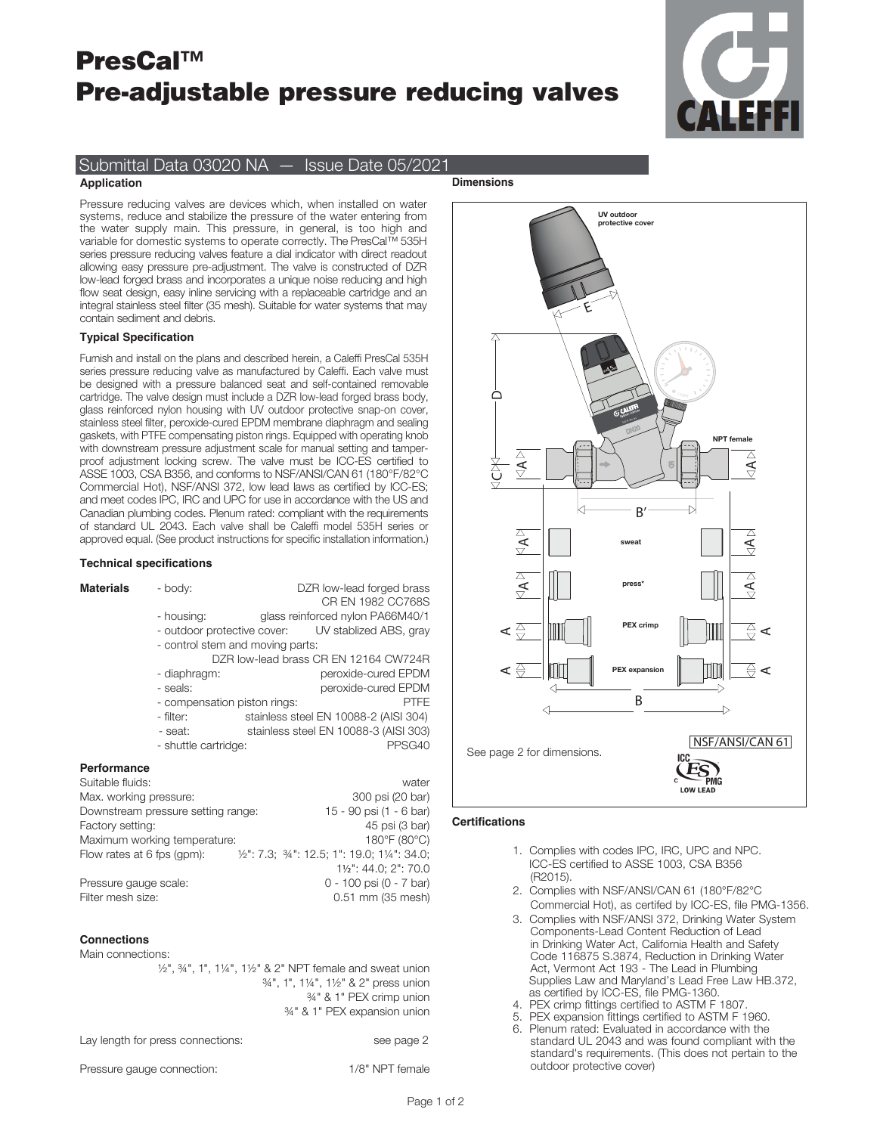# PresCal™ Pre-adjustable pressure reducing valves



# Submittal Data 03020 NA — Issue Date 05/2021

## **Application**

**Dimensions**

Pressure reducing valves are devices which, when installed on water systems, reduce and stabilize the pressure of the water entering from the water supply main. This pressure, in general, is too high and variable for domestic systems to operate correctly. The PresCal™ 535H series pressure reducing valves feature a dial indicator with direct readout allowing easy pressure pre-adjustment. The valve is constructed of DZR low-lead forged brass and incorporates a unique noise reducing and high flow seat design, easy inline servicing with a replaceable cartridge and an integral stainless steel filter (35 mesh). Suitable for water systems that may contain sediment and debris.

#### **Typical Specification**

Furnish and install on the plans and described herein, a Caleffi PresCal 535H series pressure reducing valve as manufactured by Caleffi. Each valve must be designed with a pressure balanced seat and self-contained removable cartridge. The valve design must include a DZR low-lead forged brass body, glass reinforced nylon housing with UV outdoor protective snap-on cover, stainless steel filter, peroxide-cured EPDM membrane diaphragm and sealing gaskets, with PTFE compensating piston rings. Equipped with operating knob with downstream pressure adjustment scale for manual setting and tamperproof adjustment locking screw. The valve must be ICC-ES certified to ASSE 1003, CSA B356, and conforms to NSF/ANSI/CAN 61 (180°F/82°C Commercial Hot), NSF/ANSI 372, low lead laws as certified by ICC-ES; and meet codes IPC, IRC and UPC for use in accordance with the US and Canadian plumbing codes. Plenum rated: compliant with the requirements of standard UL 2043. Each valve shall be Caleffi model 535H series or approved equal. (See product instructions for specific installation information.)

# **Technical specifications**

| Materials              | - body:                            |                                       | DZR low-lead forged brass<br>CR EN 1982 CC768S                                             |  |  |  |  |
|------------------------|------------------------------------|---------------------------------------|--------------------------------------------------------------------------------------------|--|--|--|--|
|                        | - housing:                         |                                       | glass reinforced nylon PA66M40/1                                                           |  |  |  |  |
|                        |                                    |                                       | - outdoor protective cover: UV stablized ABS, gray                                         |  |  |  |  |
|                        |                                    | - control stem and moving parts:      |                                                                                            |  |  |  |  |
|                        |                                    | DZR low-lead brass CR EN 12164 CW724R |                                                                                            |  |  |  |  |
|                        | - diaphragm:                       |                                       | peroxide-cured EPDM                                                                        |  |  |  |  |
|                        | - seals:                           |                                       | peroxide-cured EPDM                                                                        |  |  |  |  |
|                        | - compensation piston rings:       |                                       | <b>PTFE</b>                                                                                |  |  |  |  |
|                        | - filter:                          |                                       | stainless steel EN 10088-2 (AISI 304)                                                      |  |  |  |  |
|                        | - seat:                            |                                       | stainless steel EN 10088-3 (AISI 303)                                                      |  |  |  |  |
|                        | - shuttle cartridge:               |                                       | PPSG40                                                                                     |  |  |  |  |
| Performance            |                                    |                                       |                                                                                            |  |  |  |  |
| Suitable fluids:       |                                    |                                       | water                                                                                      |  |  |  |  |
| Max. working pressure: |                                    |                                       | 300 psi (20 bar)                                                                           |  |  |  |  |
|                        | Downstream pressure setting range: |                                       | 15 - 90 psi (1 - 6 bar)                                                                    |  |  |  |  |
| Factory setting:       |                                    |                                       | 45 psi (3 bar)                                                                             |  |  |  |  |
|                        | Maximum working temperature:       |                                       | 180°F (80°C)                                                                               |  |  |  |  |
|                        |                                    |                                       | Flow rates at 6 fps (gpm): $\frac{1}{2}$ : 7.3; $\frac{3}{4}$ : 12.5; 1": 19.0; 1¼": 34.0; |  |  |  |  |
|                        |                                    |                                       | 11/2": 44.0; 2": 70.0                                                                      |  |  |  |  |

Pressure gauge scale: 0 - 100 psi (0 - 7 bar) Filter mesh size: 0.51 mm (35 mesh)

#### **Connections**

Main connections:

½", ¾", 1", 1¼", 1½" & 2" NPT female and sweat union ¾", 1", 1¼", 1½" & 2" press union ¾" & 1" PEX crimp union ¾" & 1" PEX expansion union

| Lay length for press connections: | see page 2 |
|-----------------------------------|------------|
|-----------------------------------|------------|

Pressure gauge connection: 1/8" NPT female



# **Certifications**

- 1. Complies with codes IPC, IRC, UPC and NPC. ICC-ES certified to ASSE 1003, CSA B356 (R2015).
- 2. Complies with NSF/ANSI/CAN 61 (180°F/82°C Commercial Hot), as certifed by ICC-ES, file PMG-1356.
- 3. Complies with NSF/ANSI 372, Drinking Water System Components-Lead Content Reduction of Lead in Drinking Water Act, California Health and Safety Code 116875 S.3874, Reduction in Drinking Water Act, Vermont Act 193 - The Lead in Plumbing Supplies Law and Maryland's Lead Free Law HB.372, as certified by ICC-ES, file PMG-1360.
- 4. PEX crimp fittings certified to ASTM F 1807.
- 5. PEX expansion fittings certified to ASTM F 1960.
- Plenum rated: Evaluated in accordance with the standard UL 2043 and was found compliant with the standard's requirements. (This does not pertain to the outdoor protective cover)